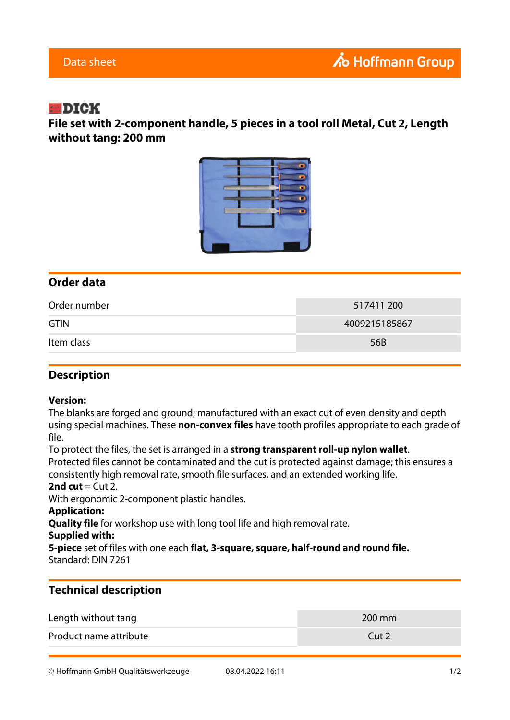## **EDIGK**

**File set with 2-component handle, 5 pieces in a tool roll Metal, Cut 2, Length without tang: 200 mm**



## **Order data**

| Order number | 517411 200    |
|--------------|---------------|
| <b>GTIN</b>  | 4009215185867 |
| Item class   | 56B           |

### **Description**

#### **Version:**

The blanks are forged and ground; manufactured with an exact cut of even density and depth using special machines. These **non-convex files** have tooth profiles appropriate to each grade of file.

To protect the files, the set is arranged in a **strong transparent roll-up nylon wallet**.

Protected files cannot be contaminated and the cut is protected against damage; this ensures a consistently high removal rate, smooth file surfaces, and an extended working life.

#### **2nd cut**  $=$  Cut 2.

With ergonomic 2-component plastic handles.

#### **Application:**

**Quality file** for workshop use with long tool life and high removal rate.

#### **Supplied with:**

**5-piece** set of files with one each **flat, 3-square, square, half-round and round file.** Standard: DIN 7261

## **Technical description**

| Length without tang    | 200 mm           |
|------------------------|------------------|
| Product name attribute | Cut <sub>2</sub> |